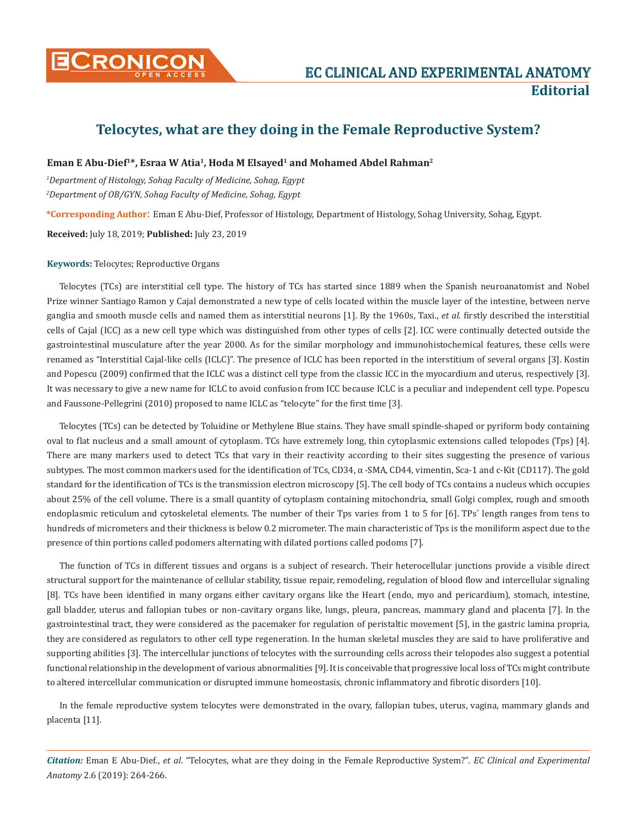

# **Telocytes, what are they doing in the Female Reproductive System?**

## **Eman E Abu-Dief<sup>1\*</sup>, Esraa W Atia<sup>1</sup>, Hoda M Elsayed<sup>1</sup> and Mohamed Abdel Rahman<sup>2</sup>**

*1 Department of Histology, Sohag Faculty of Medicine, Sohag, Egypt 2 Department of OB/GYN, Sohag Faculty of Medicine, Sohag, Egypt*

**\*Corresponding Author**: Eman E Abu-Dief, Professor of Histology, Department of Histology, Sohag University, Sohag, Egypt.

**Received:** July 18, 2019; **Published:** July 23, 2019

#### **Keywords:** Telocytes; Reproductive Organs

Telocytes (TCs) are interstitial cell type. The history of TCs has started since 1889 when the Spanish neuroanatomist and Nobel Prize winner Santiago Ramon y Cajal demonstrated a new type of cells located within the muscle layer of the intestine, between nerve ganglia and smooth muscle cells and named them as interstitial neurons [1]. By the 1960s, Taxi., *et al.* firstly described the interstitial cells of Cajal (ICC) as a new cell type which was distinguished from other types of cells [2]. ICC were continually detected outside the gastrointestinal musculature after the year 2000. As for the similar morphology and immunohistochemical features, these cells were renamed as "Interstitial Cajal-like cells (ICLC)". The presence of ICLC has been reported in the interstitium of several organs [3]. Kostin and Popescu (2009) confirmed that the ICLC was a distinct cell type from the classic ICC in the myocardium and uterus, respectively [3]. It was necessary to give a new name for ICLC to avoid confusion from ICC because ICLC is a peculiar and independent cell type. Popescu and Faussone-Pellegrini (2010) proposed to name ICLC as "telocyte" for the first time [3].

Telocytes (TCs) can be detected by Toluidine or Methylene Blue stains. They have small spindle-shaped or pyriform body containing oval to flat nucleus and a small amount of cytoplasm. TCs have extremely long, thin cytoplasmic extensions called telopodes (Tps) [4]. There are many markers used to detect TCs that vary in their reactivity according to their sites suggesting the presence of various subtypes. The most common markers used for the identification of TCs, CD34, α -SMA, CD44, vimentin, Sca-1 and c-Kit (CD117). The gold standard for the identification of TCs is the transmission electron microscopy [5]. The cell body of TCs contains a nucleus which occupies about 25% of the cell volume. There is a small quantity of cytoplasm containing mitochondria, small Golgi complex, rough and smooth endoplasmic reticulum and cytoskeletal elements. The number of their Tps varies from 1 to 5 for [6]. TPs΄ length ranges from tens to hundreds of micrometers and their thickness is below 0.2 micrometer. The main characteristic of Tps is the moniliform aspect due to the presence of thin portions called podomers alternating with dilated portions called podoms [7].

The function of TCs in different tissues and organs is a subject of research. Their heterocellular junctions provide a visible direct structural support for the maintenance of cellular stability, tissue repair, remodeling, regulation of blood flow and intercellular signaling [8]. TCs have been identified in many organs either cavitary organs like the Heart (endo, myo and pericardium), stomach, intestine, gall bladder, uterus and fallopian tubes or non-cavitary organs like, lungs, pleura, pancreas, mammary gland and placenta [7]. In the gastrointestinal tract, they were considered as the pacemaker for regulation of peristaltic movement [5], in the gastric lamina propria, they are considered as regulators to other cell type regeneration. In the human skeletal muscles they are said to have proliferative and supporting abilities [3]. The intercellular junctions of telocytes with the surrounding cells across their telopodes also suggest a potential functional relationship in the development of various abnormalities [9]. It is conceivable that progressive local loss of TCs might contribute to altered intercellular communication or disrupted immune homeostasis, chronic inflammatory and fibrotic disorders [10].

In the female reproductive system telocytes were demonstrated in the ovary, fallopian tubes, uterus, vagina, mammary glands and placenta [11].

*Citation:* Eman E Abu-Dief., *et al*. "Telocytes, what are they doing in the Female Reproductive System?"*. EC Clinical and Experimental Anatomy* 2.6 (2019): 264-266.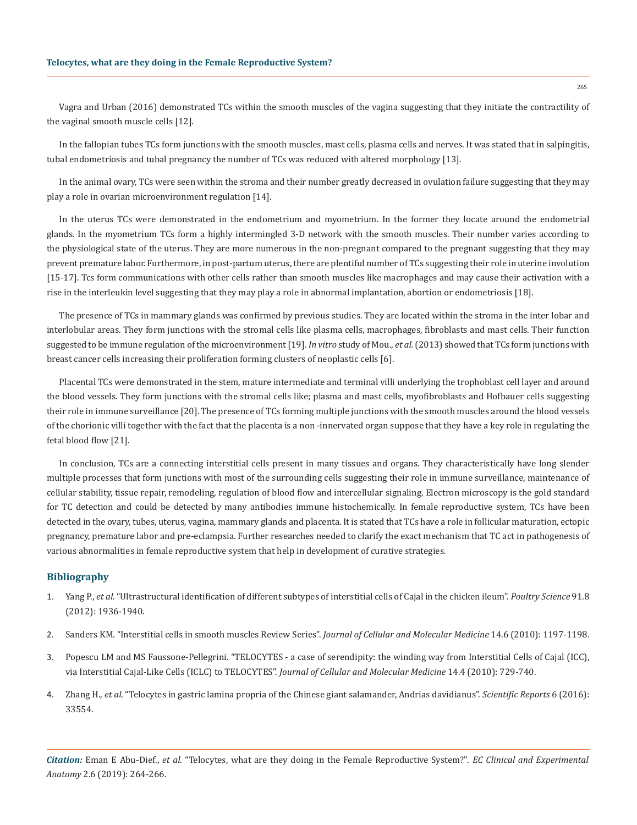Vagra and Urban (2016) demonstrated TCs within the smooth muscles of the vagina suggesting that they initiate the contractility of the vaginal smooth muscle cells [12].

In the fallopian tubes TCs form junctions with the smooth muscles, mast cells, plasma cells and nerves. It was stated that in salpingitis, tubal endometriosis and tubal pregnancy the number of TCs was reduced with altered morphology [13].

In the animal ovary, TCs were seen within the stroma and their number greatly decreased in ovulation failure suggesting that they may play a role in ovarian microenvironment regulation [14].

In the uterus TCs were demonstrated in the endometrium and myometrium. In the former they locate around the endometrial glands. In the myometrium TCs form a highly intermingled 3-D network with the smooth muscles. Their number varies according to the physiological state of the uterus. They are more numerous in the non-pregnant compared to the pregnant suggesting that they may prevent premature labor. Furthermore, in post-partum uterus, there are plentiful number of TCs suggesting their role in uterine involution [15-17]. Tcs form communications with other cells rather than smooth muscles like macrophages and may cause their activation with a rise in the interleukin level suggesting that they may play a role in abnormal implantation, abortion or endometriosis [18].

The presence of TCs in mammary glands was confirmed by previous studies. They are located within the stroma in the inter lobar and interlobular areas. They form junctions with the stromal cells like plasma cells, macrophages, fibroblasts and mast cells. Their function suggested to be immune regulation of the microenvironment [19]. *In vitro* study of Mou., *et al.* (2013) showed that TCs form junctions with breast cancer cells increasing their proliferation forming clusters of neoplastic cells [6].

Placental TCs were demonstrated in the stem, mature intermediate and terminal villi underlying the trophoblast cell layer and around the blood vessels. They form junctions with the stromal cells like; plasma and mast cells, myofibroblasts and Hofbauer cells suggesting their role in immune surveillance [20]. The presence of TCs forming multiple junctions with the smooth muscles around the blood vessels of the chorionic villi together with the fact that the placenta is a non -innervated organ suppose that they have a key role in regulating the fetal blood flow [21].

In conclusion, TCs are a connecting interstitial cells present in many tissues and organs. They characteristically have long slender multiple processes that form junctions with most of the surrounding cells suggesting their role in immune surveillance, maintenance of cellular stability, tissue repair, remodeling, regulation of blood flow and intercellular signaling. Electron microscopy is the gold standard for TC detection and could be detected by many antibodies immune histochemically. In female reproductive system, TCs have been detected in the ovary, tubes, uterus, vagina, mammary glands and placenta. It is stated that TCs have a role in follicular maturation, ectopic pregnancy, premature labor and pre-eclampsia. Further researches needed to clarify the exact mechanism that TC act in pathogenesis of various abnormalities in female reproductive system that help in development of curative strategies.

## **Bibliography**

- 1. Yang P., *et al*[. "Ultrastructural identification of different subtypes of interstitial cells of Cajal in the chicken ileum".](https://pdfs.semanticscholar.org/3ed8/1997f55aa73d023d653687eecf2d76c02aa6.pdf) *Poultry Science* 91.8 [\(2012\): 1936-1940.](https://pdfs.semanticscholar.org/3ed8/1997f55aa73d023d653687eecf2d76c02aa6.pdf)
- 2. [Sanders KM. "Interstitial cells in smooth muscles Review Series".](https://www.ncbi.nlm.nih.gov/pmc/articles/PMC3828838/) *Journal of Cellular and Molecular Medicine* 14.6 (2010): 1197-1198.
- 3. [Popescu LM and MS Faussone-Pellegrini. "TELOCYTES a case of serendipity: the winding way from Interstitial Cells of Cajal \(ICC\),](https://www.ncbi.nlm.nih.gov/pubmed/20367664)  [via Interstitial Cajal-Like Cells \(ICLC\) to TELOCYTES".](https://www.ncbi.nlm.nih.gov/pubmed/20367664) *Journal of Cellular and Molecular Medicine* 14.4 (2010): 729-740.
- 4. Zhang H., *et al*[. "Telocytes in gastric lamina propria of the Chinese giant salamander, Andrias davidianus".](https://www.nature.com/articles/srep33554) *Scientific Reports* 6 (2016): [33554.](https://www.nature.com/articles/srep33554)

*Citation:* Eman E Abu-Dief., *et al*. "Telocytes, what are they doing in the Female Reproductive System?"*. EC Clinical and Experimental Anatomy* 2.6 (2019): 264-266.

265